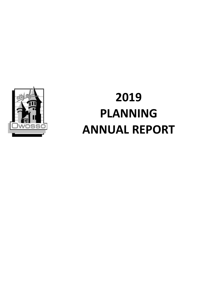

# **2019 PLANNING ANNUAL REPORT**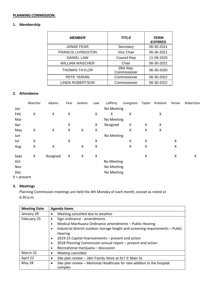#### **PLANNING COMMISSION:**

# **1. Membership**

| <b>MEMBER</b>             | <b>TITLE</b>             | <b>TERM</b><br><b>EXPIRES</b> |
|---------------------------|--------------------------|-------------------------------|
| <b>JANAE FEAR</b>         | Secretary                | 06-30-2021                    |
| <b>FRANCIS LIVINGSTON</b> | Vice Chair               | 06-30-2021                    |
| <b>DANIEL LAW</b>         | <b>Council Rep</b>       | 11-09-2020                    |
| <b>WILLIAM WASCHER</b>    | Chair                    | 06-30-2021                    |
| <b>THOMAS TAYLOR</b>      | ZBA Rep.<br>Commissioner | 06-30-2020                    |
| PETE YERIAN               | Commissioner             | 06-30-2022                    |
| LINDA ROBERTSON           | Commissioner             | 06-30-2022                    |

#### **2. Attendance**

|               | Wascher | Adams    | Fear | Jenkins | Law | Lafferty   | Livingston | Taylor | Kirkland | Yerian | Robertson |
|---------------|---------|----------|------|---------|-----|------------|------------|--------|----------|--------|-----------|
| Jan           |         |          |      |         |     | No Meeting |            |        |          |        |           |
| Feb           | X       | X        | Χ    |         | X   | x          | Χ          |        | Χ        |        |           |
| Mar           |         |          |      |         |     | No Meeting |            |        |          |        |           |
| Apr           |         |          | Χ    |         | X   | Resigned   | X          | X      | X        |        |           |
| May           | Χ       | X        | Χ    | Χ       | X   |            | X          | X      | X        |        |           |
| Jun           |         |          |      |         |     | No Meeting |            |        |          |        |           |
| Jul           | Χ       |          | Χ    |         | X   |            | X          | X      |          | Χ      |           |
| Aug           | Χ       | Χ        |      | Χ       | X   |            | X          | Χ      |          | X      |           |
| Sept          | X       | Resigned | X    | Χ       | X   |            |            | Χ      |          | X      | Χ         |
| Oct           |         |          |      |         |     | No Meeting |            |        |          |        |           |
| Nov           |         |          |      |         |     | No Meeting |            |        |          |        |           |
| Dec           |         |          |      |         |     | No Meeting |            |        |          |        |           |
| $X = present$ |         |          |      |         |     |            |            |        |          |        |           |

#### **3. Meetings**

Planning Commission meetings are held the 4th Monday of each month, except as noted at 6:30 p.m.

| <b>Meeting Date</b> | <b>Agenda Items</b>                                                                             |
|---------------------|-------------------------------------------------------------------------------------------------|
| January 28          | Meeting cancelled due to weather<br>$\bullet$                                                   |
| February 25         | Sign ordinance - amendments<br>$\bullet$                                                        |
|                     | Medical Marihuana Ordinance amendments - Public Hearing<br>$\bullet$                            |
|                     | Industrial district outdoor storage height and screening requirements - Public<br>$\bullet$     |
|                     | <b>Hearing</b>                                                                                  |
|                     | 2019-25 Capital Improvements - present and action<br>$\bullet$                                  |
|                     | 2018 Planning Commission annual report - present and action<br>$\bullet$                        |
|                     | Recreational marijuana - discussion<br>$\bullet$                                                |
| March 25            | Meeting cancelled<br>٠                                                                          |
| April 22            | Site plan review - J&H Family Store at 917 E Main St<br>٠                                       |
| May 28              | Site plan review – Memorial Healthcare for new addition to the hospital<br>$\bullet$<br>complex |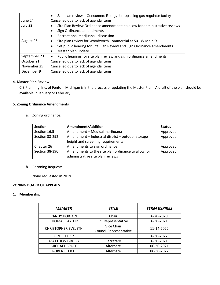|              | Site plan review - Consumers Energy for replacing gas regulator facility<br>$\bullet$ |
|--------------|---------------------------------------------------------------------------------------|
| June 24      | Cancelled due to lack of agenda items                                                 |
| July 22      | Site Plan Review Ordinance amendments to allow for administrative reviews             |
|              | Sign Ordinance amendments<br>$\bullet$                                                |
|              | Recreational marijuana - discussion<br>٠                                              |
| August 26    | Site plan review for Woodworth Commercial at 501 W Main St<br>٠                       |
|              | Set public hearing for Site Plan Review and Sign Ordinance amendments<br>$\bullet$    |
|              | Master plan update<br>٠                                                               |
| September 23 | Public hearings for site plan review and sign ordinance amendments<br>٠               |
| October 21   | Cancelled due to lack of agenda items                                                 |
| November 25  | Cancelled due to lack of agenda items                                                 |
| December 9   | Cancelled due to lack of agenda items                                                 |

### 4. **Master Plan Review**

CIB Planning, Inc. of Fenton, Michigan is in the process of updating the Master Plan. A draft of the plan should be available in January or February.

# 5. **Zoning Ordinance Amendments**

a. Zoning ordinance:

| <b>Section</b> | <b>Amendment/Addition</b>                          | <b>Status</b> |
|----------------|----------------------------------------------------|---------------|
| Section 16.5   | Amendment - Medical marihuana                      | Approved      |
| Section 38-292 | Amendment - Industrial district - outdoor storage  | Approved      |
|                | height and screening requirements                  |               |
| Chapter 26     | Amendments to sign ordinance                       | Approved      |
| Section 38-390 | Amendments to the site plan ordinance to allow for | Approved      |
|                | administrative site plan reviews                   |               |

b. Rezoning Requests:

None requested in 2019

#### **ZONING BOARD OF APPEALS**

#### **1. Membership:**

| <b>MEMBER</b>                     | <b>TITLE</b>                                |            |
|-----------------------------------|---------------------------------------------|------------|
| <b>RANDY HORTON</b>               | Chair                                       | 6-20-2020  |
| <b>THOMAS TAYLOR</b>              | PC Representative                           | 6-30-2021  |
| <b>CHRISTOPHER EVELETH</b>        | Vice Chair<br><b>Council Representative</b> | 11-14-2022 |
| <b>KENT TELESZ</b>                |                                             | 6-30-2022  |
| <b>MATTHEW GRUBB</b><br>Secretary |                                             | 6-30-2021  |
| <b>MICHAEL BRUFF</b>              | Alternate                                   | 06-30-2021 |
| <b>ROBERT TEICH</b>               | Alternate                                   |            |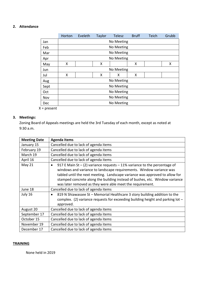#### **2. Attendance**

|            | Horton     | Eveleth     | Taylor | <b>Telesz</b> | <b>Bruff</b> | Teich | Grubb |
|------------|------------|-------------|--------|---------------|--------------|-------|-------|
| Jan        |            |             |        | No Meeting    |              |       |       |
| Feb        |            |             |        | No Meeting    |              |       |       |
| Mar        |            |             |        | No Meeting    |              |       |       |
| Apr        |            |             |        | No Meeting    |              |       |       |
| May        | Χ          |             | X      |               | x            |       | x     |
| <b>Jun</b> |            |             |        | No Meeting    |              |       |       |
| Jul        | X          | X<br>X<br>x |        |               |              |       |       |
| Aug        |            | No Meeting  |        |               |              |       |       |
| Sept       |            | No Meeting  |        |               |              |       |       |
| Oct        | No Meeting |             |        |               |              |       |       |
| Nov        |            | No Meeting  |        |               |              |       |       |
| Dec        |            |             |        | No Meeting    |              |       |       |

X = present

# **3. Meetings:**

Zoning Board of Appeals meetings are held the 3rd Tuesday of each month, except as noted at 9:30 a.m.

| <b>Meeting Date</b> | <b>Agenda Items</b>                                                                                                                                                                                                                                                                                                                                                                          |
|---------------------|----------------------------------------------------------------------------------------------------------------------------------------------------------------------------------------------------------------------------------------------------------------------------------------------------------------------------------------------------------------------------------------------|
| January 15          | Cancelled due to lack of agenda items                                                                                                                                                                                                                                                                                                                                                        |
| February 19         | Cancelled due to lack of agenda items                                                                                                                                                                                                                                                                                                                                                        |
| March 19            | Cancelled due to lack of agenda items                                                                                                                                                                                                                                                                                                                                                        |
| April 16            | Cancelled due to lack of agenda items                                                                                                                                                                                                                                                                                                                                                        |
| <b>May 21</b>       | 917 E Main St $-$ (2) variance requests $-$ 11% variance to the percentage of<br>$\bullet$<br>windows and variance to landscape requirements. Window variance was<br>tabled until the next meeting. Landscape variance was approved to allow for<br>stamped concrete along the building instead of bushes, etc. Window variance<br>was later removed as they were able meet the requirement. |
| June 18             | Cancelled due to lack of agenda items                                                                                                                                                                                                                                                                                                                                                        |
| July 16             | 819 N Shiawassee St - Memorial Healthcare 3 story building addition to the<br>٠<br>complex. (2) variance requests for exceeding building height and parking lot $-$<br>approved.                                                                                                                                                                                                             |
| August 20           | Cancelled due to lack of agenda items                                                                                                                                                                                                                                                                                                                                                        |
| September 17        | Cancelled due to lack of agenda items                                                                                                                                                                                                                                                                                                                                                        |
| October 15          | Cancelled due to lack of agenda items                                                                                                                                                                                                                                                                                                                                                        |
| November 19         | Cancelled due to lack of agenda items                                                                                                                                                                                                                                                                                                                                                        |
| December 17         | Cancelled due to lack of agenda items                                                                                                                                                                                                                                                                                                                                                        |

#### **TRAINING**

None held in 2019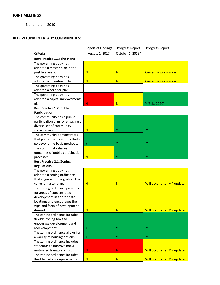#### **JOINT MEETINGS**

None held in 2019

#### **REDEVELOPMENT READY COMMUNITIES:**

|                                     | <b>Report of Findings</b> | Progress Report  | Progress Report             |
|-------------------------------------|---------------------------|------------------|-----------------------------|
| Criteria                            | August 1, 2017            | October 1, 2018* |                             |
| <b>Best Practice 1.1: The Plans</b> |                           |                  |                             |
| The governing body has              |                           |                  |                             |
| adopted a master plan in the        |                           |                  |                             |
| past five years.                    | N                         | N                | <b>Currently working on</b> |
| The governing body has              |                           |                  |                             |
| adopted a downtown plan.            | N                         | N                | <b>Currently working on</b> |
| The governing body has              |                           |                  |                             |
| adopted a corridor plan.            |                           |                  |                             |
| The governing body has              |                           |                  |                             |
| adopted a capital improvements      |                           |                  |                             |
| plan.                               | N                         | N                | Y (Feb. 2020)               |
| <b>Best Practice 1.2: Public</b>    |                           |                  |                             |
| Participation                       |                           |                  |                             |
| The community has a public          |                           |                  |                             |
| participation plan for engaging a   |                           |                  |                             |
| diverse set of community            |                           |                  |                             |
| stakeholders.                       | N                         | Υ                | Υ                           |
| The community demonstrates          |                           |                  |                             |
| that public participation efforts   |                           |                  |                             |
| go beyond the basic methods.        | Υ                         | Υ                | Υ                           |
| The community shares                |                           |                  |                             |
| outcomes of public participation    |                           |                  |                             |
| processes.                          | N                         | Υ                | Υ                           |
| <b>Best Practice 2.1: Zoning</b>    |                           |                  |                             |
| <b>Regulations</b>                  |                           |                  |                             |
| The governing body has              |                           |                  |                             |
| adopted a zoning ordinance          |                           |                  |                             |
| that aligns with the goals of the   |                           |                  |                             |
| current master plan.                | $\mathsf{N}$              | N                | Will occur after MP update  |
| The zoning ordinance provides       |                           |                  |                             |
| for areas of concentrated           |                           |                  |                             |
| development in appropriate          |                           |                  |                             |
| locations and encourages the        |                           |                  |                             |
| type and form of development        |                           |                  |                             |
| desired.                            | N                         | N                | Will occur after MP update  |
| The zoning ordinance includes       |                           |                  |                             |
| flexible zoning tools to            |                           |                  |                             |
| encourage development and           |                           |                  |                             |
| redevelopment.                      | Υ                         | Υ                | Υ                           |
| The zoning ordinance allows for     |                           |                  |                             |
| a variety of housing options.       | Υ                         | Υ                | Y                           |
| The zoning ordinance includes       |                           |                  |                             |
| standards to improve non•-          |                           |                  |                             |
| motorized transportation.           | ${\sf N}$                 | N.               | Will occur after MP update  |
| The zoning ordinance includes       |                           |                  |                             |
| flexible parking requirements.      | $\mathbf N$               | N                | Will occur after MP update  |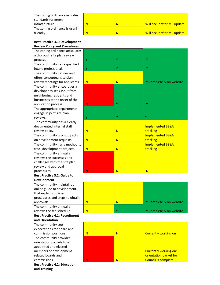| The zoning ordinance includes<br>standards for green |   |                            |
|------------------------------------------------------|---|----------------------------|
| infrastructure.                                      |   | Will occur after MP update |
| The zoning ordinance is user.                        |   |                            |
| friendly.                                            | N | Will occur after MP update |

#### **Best Practice 3.1: Development Review Policy and Procedures**

| Review Folley and Flocedules          |             |    |                             |
|---------------------------------------|-------------|----|-----------------------------|
| The zoning ordinance articulates      |             |    |                             |
| a thorough site plan review           |             |    |                             |
| process.                              | Y           | Υ  | Y                           |
| The community has a qualified         |             |    |                             |
| intake professional.                  | Υ           | Υ  | Y                           |
| The community defines and             |             |    |                             |
| offers conceptual site plan           |             |    |                             |
| review meetings for applicants.       | N           | N  | Y: Complete & on website    |
| The community encourages a            |             |    |                             |
| developer to seek input from          |             |    |                             |
| neighboring residents and             |             |    |                             |
| businesses at the onset of the        |             |    |                             |
| application process.                  | N           | Y  | Y                           |
| The appropriate departments           |             |    |                             |
| engage in joint site plan             |             |    |                             |
| reviews.                              | Υ           | Υ  | Ÿ                           |
| The community has a clearly           |             |    |                             |
| documented internal staff             |             |    | <b>Implemented BS&amp;A</b> |
| review policy.                        | N           | N  | tracking                    |
| The community promptly acts           |             |    | <b>Implemented BS&amp;A</b> |
| on development requests.              | N           | N  | tracking                    |
| The community has a method to         |             |    | <b>Implemented BS&amp;A</b> |
| track development projects.           | $\mathbf N$ | N  | tracking                    |
| The community annually                |             |    |                             |
| reviews the successes and             |             |    |                             |
| challenges with the site plan         |             |    |                             |
| review and approval                   |             |    |                             |
| procedures.                           | N           | N  | N                           |
| <b>Best Practice 3.2: Guide to</b>    |             |    |                             |
| <b>Development</b>                    |             |    |                             |
| The community maintains an            |             |    |                             |
| online guide to development           |             |    |                             |
| that explains policies,               |             |    |                             |
| procedures and steps to obtain        |             |    |                             |
| approvals.                            | N           | N  | Y: Complete & on website    |
| The community annually                |             |    |                             |
| reviews the fee schedule.             | N           | Y  | Y: Complete & on website    |
| <b>Best Practice 4.1: Recruitment</b> |             |    |                             |
| and Orientation                       |             |    |                             |
| The community sets                    |             |    |                             |
| expectations for board and            |             |    |                             |
| commission positions.                 | N           | N. | <b>Currently working on</b> |
| The community provides                |             |    |                             |
| orientation packets to all            |             |    |                             |
| appointed and elected                 |             |    |                             |
| members of development                |             |    | Currently working on:       |
| related boards and                    |             |    | orientation packet for      |
| commissions.                          | N.          | N. | <b>Council is complete</b>  |
|                                       |             |    |                             |

**Best Practice 4.2: Education and Training**